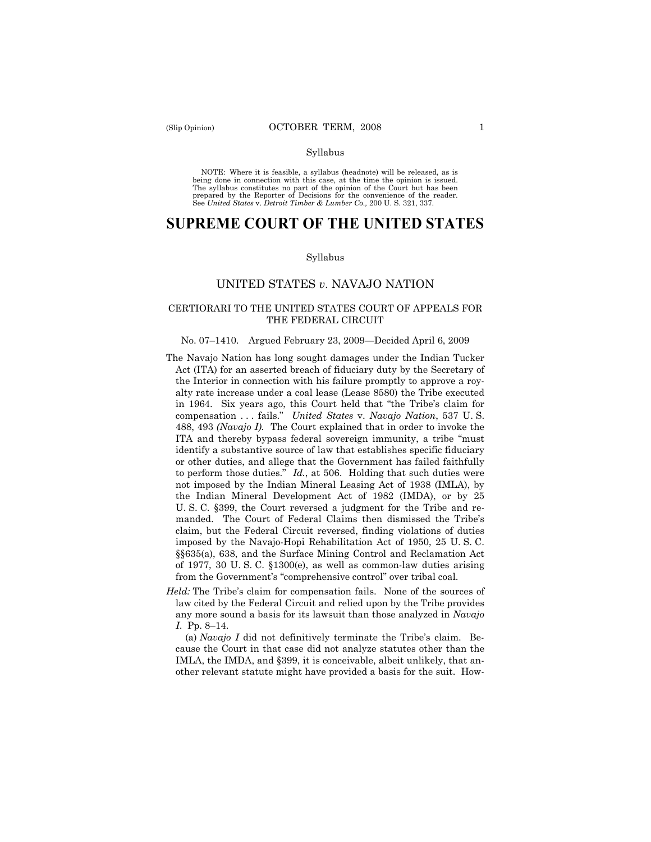### Syllabus

NOTE: Where it is feasible, a syllabus (headnote) will be released, as is being done in connection with this case, at the time the opinion is issued. The syllabus constitutes no part of the opinion of the Court but has been<br>prepared by the Reporter of Decisions for the convenience of the reader.<br>See United States v. Detroit Timber & Lumber Co., 200 U. S. 321, 337.

# **SUPREME COURT OF THE UNITED STATES**

#### Syllabus

### UNITED STATES *v*. NAVAJO NATION

### CERTIORARI TO THE UNITED STATES COURT OF APPEALS FOR THE FEDERAL CIRCUIT

#### No. 07–1410. Argued February 23, 2009—Decided April 6, 2009

- The Navajo Nation has long sought damages under the Indian Tucker Act (ITA) for an asserted breach of fiduciary duty by the Secretary of the Interior in connection with his failure promptly to approve a royalty rate increase under a coal lease (Lease 8580) the Tribe executed in 1964. Six years ago, this Court held that "the Tribe's claim for compensation . . . fails." *United States* v. *Navajo Nation*, 537 U. S. 488, 493 *(Navajo I).* The Court explained that in order to invoke the ITA and thereby bypass federal sovereign immunity, a tribe "must identify a substantive source of law that establishes specific fiduciary or other duties, and allege that the Government has failed faithfully to perform those duties." *Id.*, at 506. Holding that such duties were not imposed by the Indian Mineral Leasing Act of 1938 (IMLA), by the Indian Mineral Development Act of 1982 (IMDA), or by 25 U. S. C. §399, the Court reversed a judgment for the Tribe and remanded. The Court of Federal Claims then dismissed the Tribe's claim, but the Federal Circuit reversed, finding violations of duties imposed by the Navajo-Hopi Rehabilitation Act of 1950, 25 U. S. C. §§635(a), 638, and the Surface Mining Control and Reclamation Act of 1977, 30 U. S. C. §1300(e), as well as common-law duties arising from the Government's "comprehensive control" over tribal coal.
- *Held:* The Tribe's claim for compensation fails. None of the sources of law cited by the Federal Circuit and relied upon by the Tribe provides any more sound a basis for its lawsuit than those analyzed in *Navajo I*. Pp. 8–14.

(a) *Navajo I* did not definitively terminate the Tribe's claim. Because the Court in that case did not analyze statutes other than the IMLA, the IMDA, and §399, it is conceivable, albeit unlikely, that another relevant statute might have provided a basis for the suit. How-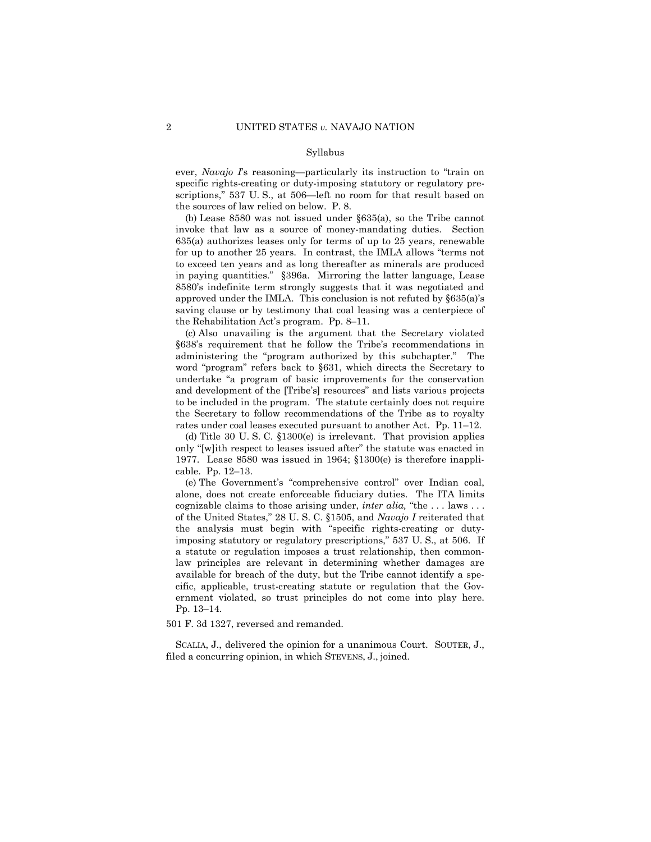#### Syllabus

ever, *Navajo I*'s reasoning—particularly its instruction to "train on specific rights-creating or duty-imposing statutory or regulatory prescriptions," 537 U. S., at 506—left no room for that result based on the sources of law relied on below. P. 8.

(b) Lease 8580 was not issued under §635(a), so the Tribe cannot invoke that law as a source of money-mandating duties. Section 635(a) authorizes leases only for terms of up to 25 years, renewable for up to another 25 years. In contrast, the IMLA allows "terms not to exceed ten years and as long thereafter as minerals are produced in paying quantities." §396a. Mirroring the latter language, Lease 8580's indefinite term strongly suggests that it was negotiated and approved under the IMLA. This conclusion is not refuted by §635(a)'s saving clause or by testimony that coal leasing was a centerpiece of the Rehabilitation Act's program. Pp. 8–11.

(c) Also unavailing is the argument that the Secretary violated §638's requirement that he follow the Tribe's recommendations in administering the "program authorized by this subchapter." The word "program" refers back to §631, which directs the Secretary to undertake "a program of basic improvements for the conservation and development of the [Tribe's] resources" and lists various projects to be included in the program. The statute certainly does not require the Secretary to follow recommendations of the Tribe as to royalty rates under coal leases executed pursuant to another Act. Pp. 11–12.

(d) Title 30 U. S. C. §1300(e) is irrelevant. That provision applies only "[w]ith respect to leases issued after" the statute was enacted in 1977. Lease 8580 was issued in 1964; §1300(e) is therefore inapplicable. Pp. 12–13.

(e) The Government's "comprehensive control" over Indian coal, alone, does not create enforceable fiduciary duties. The ITA limits cognizable claims to those arising under, *inter alia,* "the . . . laws . . . of the United States," 28 U. S. C. §1505, and *Navajo I* reiterated that the analysis must begin with "specific rights-creating or dutyimposing statutory or regulatory prescriptions," 537 U. S., at 506. If a statute or regulation imposes a trust relationship, then commonlaw principles are relevant in determining whether damages are available for breach of the duty, but the Tribe cannot identify a specific, applicable, trust-creating statute or regulation that the Government violated, so trust principles do not come into play here. Pp. 13–14.

501 F. 3d 1327, reversed and remanded.

SCALIA, J., delivered the opinion for a unanimous Court. SOUTER, J., filed a concurring opinion, in which STEVENS, J., joined.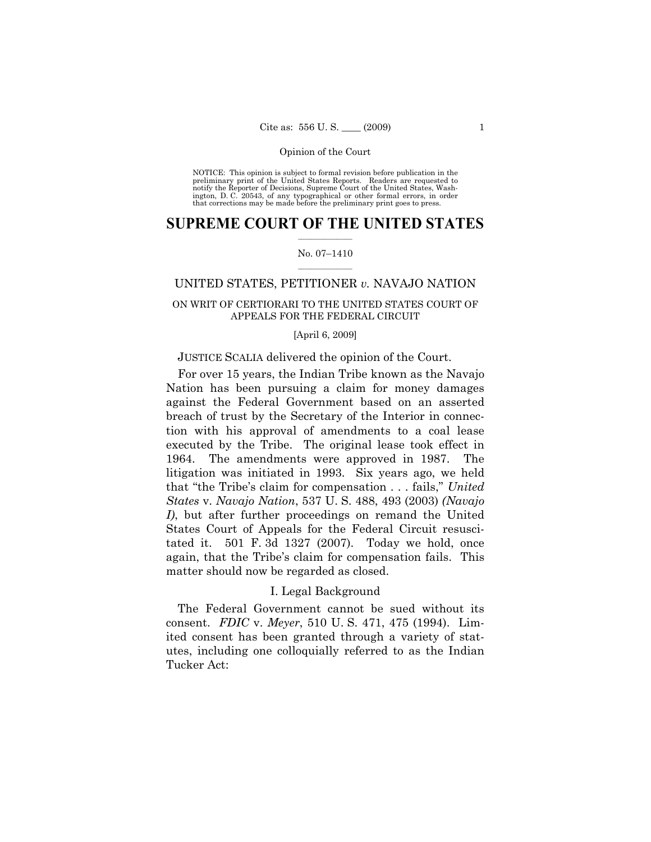NOTICE: This opinion is subject to formal revision before publication in the preliminary print of the United States Reports. Readers are requested to notify the Reporter of Decisions, Supreme Court of the United States, Washington, D. C. 20543, of any typographical or other formal errors, in order that corrections may be made before the preliminary print goes to press.

### $\frac{1}{2}$  ,  $\frac{1}{2}$  ,  $\frac{1}{2}$  ,  $\frac{1}{2}$  ,  $\frac{1}{2}$  ,  $\frac{1}{2}$  ,  $\frac{1}{2}$ **SUPREME COURT OF THE UNITED STATES**

#### $\frac{1}{2}$  ,  $\frac{1}{2}$  ,  $\frac{1}{2}$  ,  $\frac{1}{2}$  ,  $\frac{1}{2}$  ,  $\frac{1}{2}$ No. 07–1410

### UNITED STATES, PETITIONER *v.* NAVAJO NATION

### ON WRIT OF CERTIORARI TO THE UNITED STATES COURT OF APPEALS FOR THE FEDERAL CIRCUIT

#### [April 6, 2009]

### JUSTICE SCALIA delivered the opinion of the Court.

For over 15 years, the Indian Tribe known as the Navajo Nation has been pursuing a claim for money damages against the Federal Government based on an asserted breach of trust by the Secretary of the Interior in connection with his approval of amendments to a coal lease executed by the Tribe. The original lease took effect in 1964. The amendments were approved in 1987. The litigation was initiated in 1993. Six years ago, we held that "the Tribe's claim for compensation . . . fails," *United States* v. *Navajo Nation*, 537 U. S. 488, 493 (2003) *(Navajo I)*, but after further proceedings on remand the United States Court of Appeals for the Federal Circuit resuscitated it. 501 F. 3d 1327 (2007). Today we hold, once again, that the Tribe's claim for compensation fails. This matter should now be regarded as closed.

### I. Legal Background

The Federal Government cannot be sued without its consent. *FDIC* v. *Meyer*, 510 U. S. 471, 475 (1994). Limited consent has been granted through a variety of statutes, including one colloquially referred to as the Indian Tucker Act: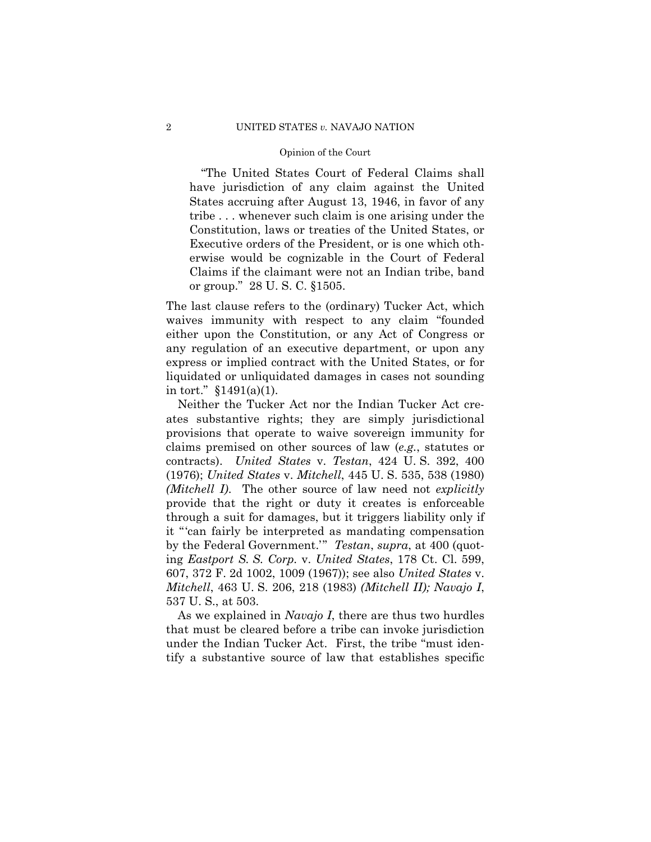"The United States Court of Federal Claims shall have jurisdiction of any claim against the United States accruing after August 13, 1946, in favor of any tribe . . . whenever such claim is one arising under the Constitution, laws or treaties of the United States, or Executive orders of the President, or is one which otherwise would be cognizable in the Court of Federal Claims if the claimant were not an Indian tribe, band or group." 28 U. S. C. §1505.

The last clause refers to the (ordinary) Tucker Act, which waives immunity with respect to any claim "founded either upon the Constitution, or any Act of Congress or any regulation of an executive department, or upon any express or implied contract with the United States, or for liquidated or unliquidated damages in cases not sounding in tort." §1491(a)(1).

Neither the Tucker Act nor the Indian Tucker Act creates substantive rights; they are simply jurisdictional provisions that operate to waive sovereign immunity for claims premised on other sources of law (*e.g.*, statutes or contracts). *United States* v. *Testan*, 424 U. S. 392, 400 (1976); *United States* v. *Mitchell*, 445 U. S. 535, 538 (1980) *(Mitchell I)*. The other source of law need not *explicitly* provide that the right or duty it creates is enforceable through a suit for damages, but it triggers liability only if it "'can fairly be interpreted as mandating compensation by the Federal Government.'" *Testan*, *supra*, at 400 (quoting *Eastport S. S. Corp.* v. *United States*, 178 Ct. Cl. 599, 607, 372 F. 2d 1002, 1009 (1967)); see also *United States* v. *Mitchell*, 463 U. S. 206, 218 (1983) *(Mitchell II); Navajo I*, 537 U. S., at 503.

As we explained in *Navajo I*, there are thus two hurdles that must be cleared before a tribe can invoke jurisdiction under the Indian Tucker Act. First, the tribe "must identify a substantive source of law that establishes specific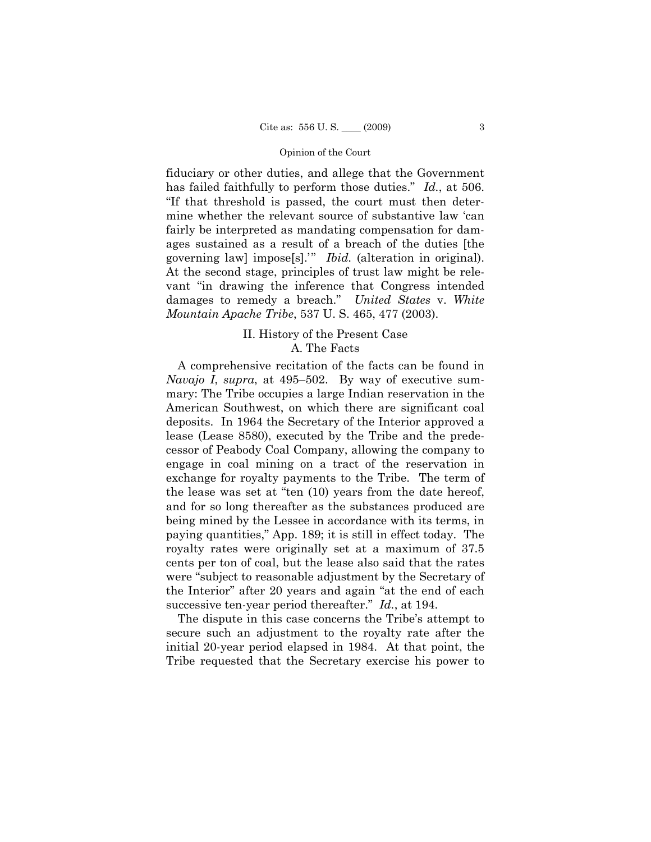fiduciary or other duties, and allege that the Government has failed faithfully to perform those duties." *Id.*, at 506. "If that threshold is passed, the court must then determine whether the relevant source of substantive law 'can fairly be interpreted as mandating compensation for damages sustained as a result of a breach of the duties [the governing law] impose[s].'" *Ibid.* (alteration in original). At the second stage, principles of trust law might be relevant "in drawing the inference that Congress intended damages to remedy a breach." *United States* v. *White Mountain Apache Tribe*, 537 U. S. 465, 477 (2003).

### II. History of the Present Case A. The Facts

A comprehensive recitation of the facts can be found in *Navajo I*, *supra*, at 495–502. By way of executive summary: The Tribe occupies a large Indian reservation in the American Southwest, on which there are significant coal deposits. In 1964 the Secretary of the Interior approved a lease (Lease 8580), executed by the Tribe and the predecessor of Peabody Coal Company, allowing the company to engage in coal mining on a tract of the reservation in exchange for royalty payments to the Tribe. The term of the lease was set at "ten (10) years from the date hereof, and for so long thereafter as the substances produced are being mined by the Lessee in accordance with its terms, in paying quantities," App. 189; it is still in effect today. The royalty rates were originally set at a maximum of 37.5 cents per ton of coal, but the lease also said that the rates were "subject to reasonable adjustment by the Secretary of the Interior" after 20 years and again "at the end of each successive ten-year period thereafter." *Id.*, at 194.

The dispute in this case concerns the Tribe's attempt to secure such an adjustment to the royalty rate after the initial 20-year period elapsed in 1984. At that point, the Tribe requested that the Secretary exercise his power to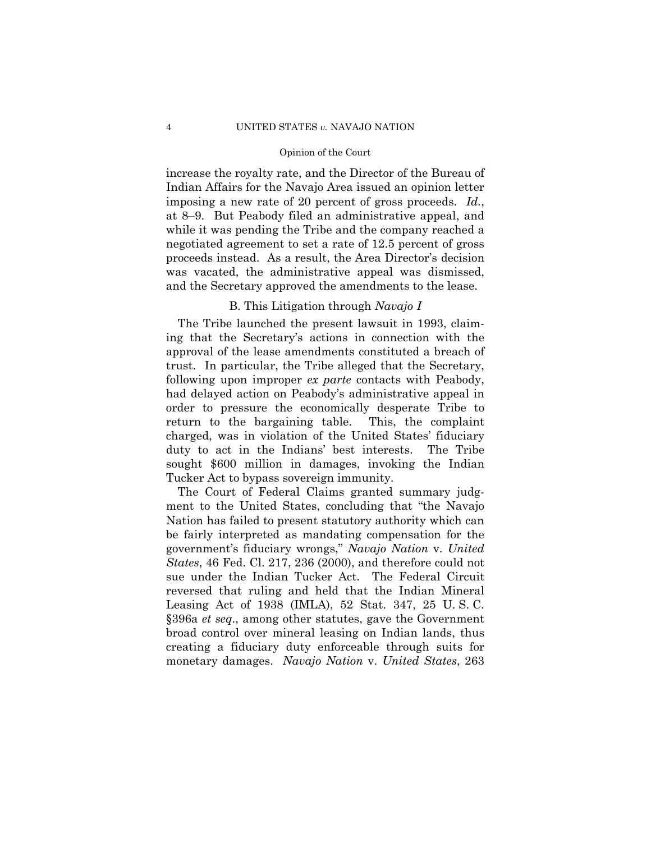increase the royalty rate, and the Director of the Bureau of Indian Affairs for the Navajo Area issued an opinion letter imposing a new rate of 20 percent of gross proceeds. *Id.*, at 8–9. But Peabody filed an administrative appeal, and while it was pending the Tribe and the company reached a negotiated agreement to set a rate of 12.5 percent of gross proceeds instead. As a result, the Area Director's decision was vacated, the administrative appeal was dismissed, and the Secretary approved the amendments to the lease.

### B. This Litigation through *Navajo I*

The Tribe launched the present lawsuit in 1993, claiming that the Secretary's actions in connection with the approval of the lease amendments constituted a breach of trust. In particular, the Tribe alleged that the Secretary, following upon improper *ex parte* contacts with Peabody, had delayed action on Peabody's administrative appeal in order to pressure the economically desperate Tribe to return to the bargaining table. This, the complaint charged, was in violation of the United States' fiduciary duty to act in the Indians' best interests. The Tribe sought \$600 million in damages, invoking the Indian Tucker Act to bypass sovereign immunity.

The Court of Federal Claims granted summary judgment to the United States, concluding that "the Navajo Nation has failed to present statutory authority which can be fairly interpreted as mandating compensation for the government's fiduciary wrongs," *Navajo Nation* v. *United States*, 46 Fed. Cl. 217, 236 (2000), and therefore could not sue under the Indian Tucker Act. The Federal Circuit reversed that ruling and held that the Indian Mineral Leasing Act of 1938 (IMLA), 52 Stat. 347, 25 U. S. C. §396a *et seq*., among other statutes, gave the Government broad control over mineral leasing on Indian lands, thus creating a fiduciary duty enforceable through suits for monetary damages. *Navajo Nation* v. *United States*, 263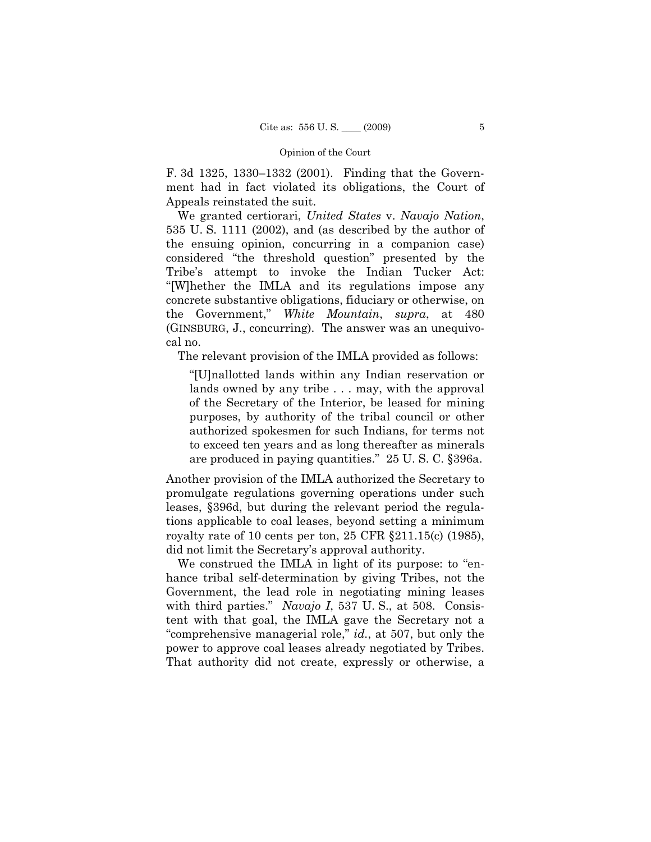F. 3d 1325, 1330–1332 (2001). Finding that the Government had in fact violated its obligations, the Court of Appeals reinstated the suit.

We granted certiorari, *United States* v. *Navajo Nation*, 535 U. S. 1111 (2002), and (as described by the author of the ensuing opinion, concurring in a companion case) considered "the threshold question" presented by the Tribe's attempt to invoke the Indian Tucker Act: "[W]hether the IMLA and its regulations impose any concrete substantive obligations, fiduciary or otherwise, on the Government," *White Mountain*, *supra*, at 480 (GINSBURG, J., concurring). The answer was an unequivocal no.

The relevant provision of the IMLA provided as follows:

"[U]nallotted lands within any Indian reservation or lands owned by any tribe . . . may, with the approval of the Secretary of the Interior, be leased for mining purposes, by authority of the tribal council or other authorized spokesmen for such Indians, for terms not to exceed ten years and as long thereafter as minerals are produced in paying quantities." 25 U. S. C. §396a.

Another provision of the IMLA authorized the Secretary to promulgate regulations governing operations under such leases, §396d, but during the relevant period the regulations applicable to coal leases, beyond setting a minimum royalty rate of 10 cents per ton, 25 CFR §211.15(c) (1985), did not limit the Secretary's approval authority.

We construed the IMLA in light of its purpose: to "enhance tribal self-determination by giving Tribes, not the Government, the lead role in negotiating mining leases with third parties." *Navajo I*, 537 U. S., at 508. Consistent with that goal, the IMLA gave the Secretary not a "comprehensive managerial role," *id.*, at 507, but only the power to approve coal leases already negotiated by Tribes. That authority did not create, expressly or otherwise, a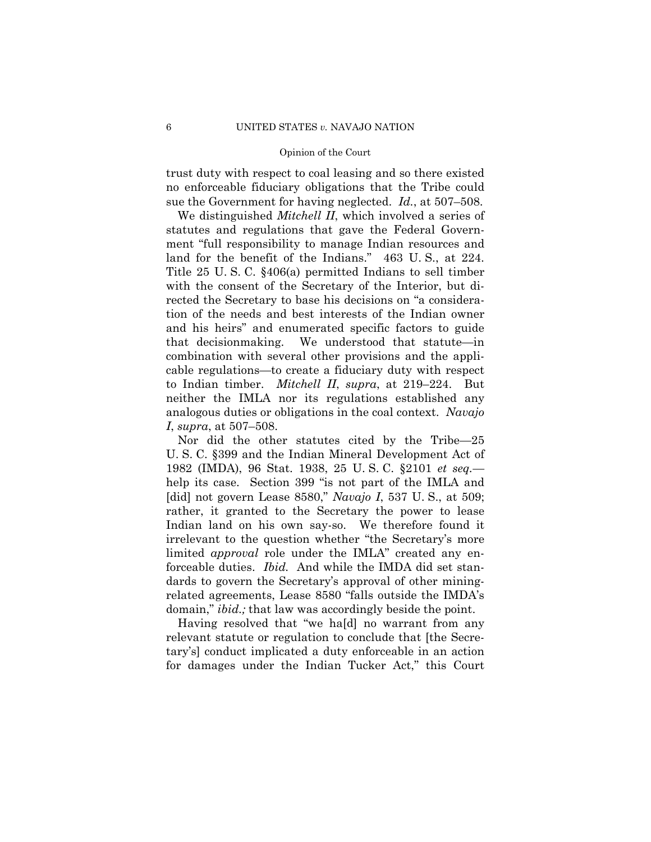trust duty with respect to coal leasing and so there existed no enforceable fiduciary obligations that the Tribe could sue the Government for having neglected. *Id.*, at 507–508.

 We distinguished *Mitchell II*, which involved a series of statutes and regulations that gave the Federal Government "full responsibility to manage Indian resources and land for the benefit of the Indians." 463 U. S., at 224. Title 25 U. S. C. §406(a) permitted Indians to sell timber with the consent of the Secretary of the Interior, but directed the Secretary to base his decisions on "a consideration of the needs and best interests of the Indian owner and his heirs" and enumerated specific factors to guide that decisionmaking. We understood that statute—in combination with several other provisions and the applicable regulations—to create a fiduciary duty with respect to Indian timber. *Mitchell II*, *supra*, at 219–224. But neither the IMLA nor its regulations established any analogous duties or obligations in the coal context. *Navajo I*, *supra*, at 507–508.

Nor did the other statutes cited by the Tribe—25 U. S. C. §399 and the Indian Mineral Development Act of 1982 (IMDA), 96 Stat. 1938, 25 U. S. C. §2101 *et seq.* help its case. Section 399 "is not part of the IMLA and [did] not govern Lease 8580," *Navajo I*, 537 U. S., at 509; rather, it granted to the Secretary the power to lease Indian land on his own say-so. We therefore found it irrelevant to the question whether "the Secretary's more limited *approval* role under the IMLA" created any enforceable duties. *Ibid.* And while the IMDA did set standards to govern the Secretary's approval of other miningrelated agreements, Lease 8580 "falls outside the IMDA's domain," *ibid.;* that law was accordingly beside the point.

Having resolved that "we ha[d] no warrant from any relevant statute or regulation to conclude that [the Secretary's] conduct implicated a duty enforceable in an action for damages under the Indian Tucker Act," this Court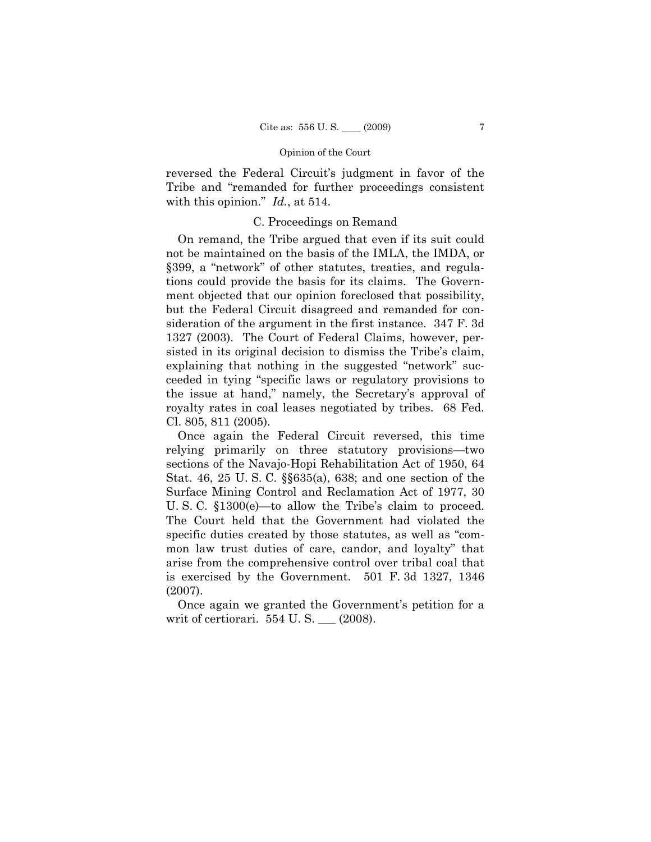reversed the Federal Circuit's judgment in favor of the Tribe and "remanded for further proceedings consistent with this opinion." *Id.*, at 514.

### C. Proceedings on Remand

On remand, the Tribe argued that even if its suit could not be maintained on the basis of the IMLA, the IMDA, or §399, a "network" of other statutes, treaties, and regulations could provide the basis for its claims. The Government objected that our opinion foreclosed that possibility, but the Federal Circuit disagreed and remanded for consideration of the argument in the first instance. 347 F. 3d 1327 (2003). The Court of Federal Claims, however, persisted in its original decision to dismiss the Tribe's claim, explaining that nothing in the suggested "network" succeeded in tying "specific laws or regulatory provisions to the issue at hand," namely, the Secretary's approval of royalty rates in coal leases negotiated by tribes. 68 Fed. Cl. 805, 811 (2005).

Once again the Federal Circuit reversed, this time relying primarily on three statutory provisions—two sections of the Navajo-Hopi Rehabilitation Act of 1950, 64 Stat. 46, 25 U. S. C. §§635(a), 638; and one section of the Surface Mining Control and Reclamation Act of 1977, 30 U. S. C. §1300(e)—to allow the Tribe's claim to proceed. The Court held that the Government had violated the specific duties created by those statutes, as well as "common law trust duties of care, candor, and loyalty" that arise from the comprehensive control over tribal coal that is exercised by the Government. 501 F. 3d 1327, 1346 (2007).

Once again we granted the Government's petition for a writ of certiorari. 554 U.S. \_\_ (2008).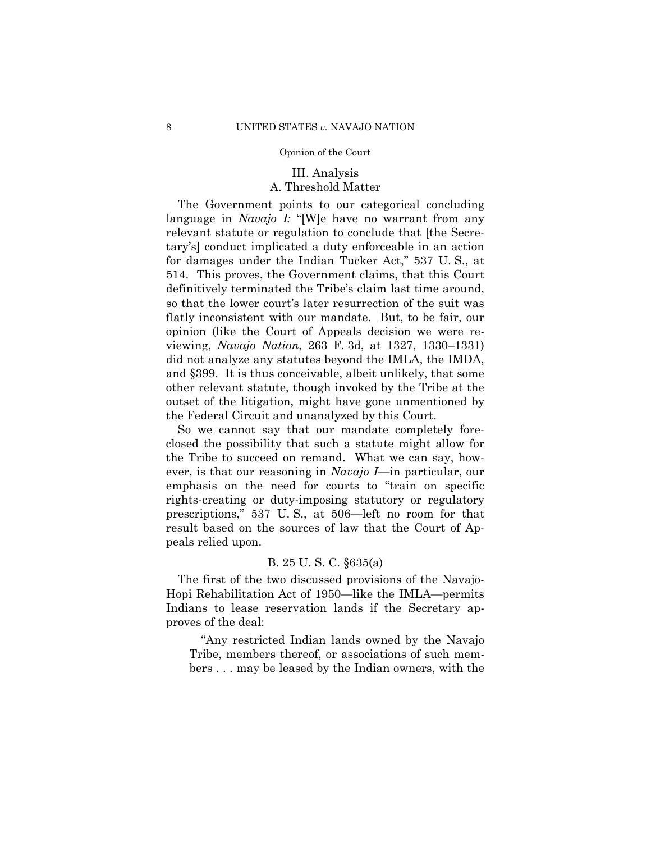## III. Analysis A. Threshold Matter

The Government points to our categorical concluding language in *Navajo I:* "[W]e have no warrant from any relevant statute or regulation to conclude that [the Secretary's] conduct implicated a duty enforceable in an action for damages under the Indian Tucker Act," 537 U. S., at 514. This proves, the Government claims, that this Court definitively terminated the Tribe's claim last time around, so that the lower court's later resurrection of the suit was flatly inconsistent with our mandate. But, to be fair, our opinion (like the Court of Appeals decision we were reviewing, *Navajo Nation*, 263 F. 3d, at 1327, 1330–1331) did not analyze any statutes beyond the IMLA, the IMDA, and §399. It is thus conceivable, albeit unlikely, that some other relevant statute, though invoked by the Tribe at the outset of the litigation, might have gone unmentioned by the Federal Circuit and unanalyzed by this Court.

So we cannot say that our mandate completely foreclosed the possibility that such a statute might allow for the Tribe to succeed on remand. What we can say, however, is that our reasoning in *Navajo I*—in particular, our emphasis on the need for courts to "train on specific rights-creating or duty-imposing statutory or regulatory prescriptions," 537 U. S., at 506—left no room for that result based on the sources of law that the Court of Appeals relied upon.

### B. 25 U. S. C. §635(a)

The first of the two discussed provisions of the Navajo-Hopi Rehabilitation Act of 1950—like the IMLA—permits Indians to lease reservation lands if the Secretary approves of the deal:

"Any restricted Indian lands owned by the Navajo Tribe, members thereof, or associations of such members . . . may be leased by the Indian owners, with the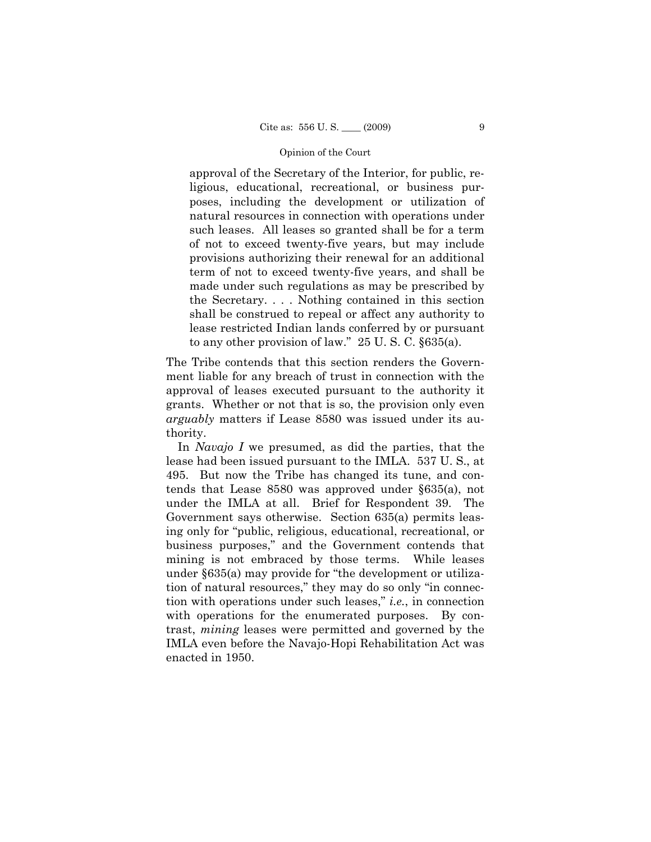approval of the Secretary of the Interior, for public, religious, educational, recreational, or business purposes, including the development or utilization of natural resources in connection with operations under such leases. All leases so granted shall be for a term of not to exceed twenty-five years, but may include provisions authorizing their renewal for an additional term of not to exceed twenty-five years, and shall be made under such regulations as may be prescribed by the Secretary. . . . Nothing contained in this section shall be construed to repeal or affect any authority to lease restricted Indian lands conferred by or pursuant to any other provision of law." 25 U. S. C. §635(a).

The Tribe contends that this section renders the Government liable for any breach of trust in connection with the approval of leases executed pursuant to the authority it grants. Whether or not that is so, the provision only even *arguably* matters if Lease 8580 was issued under its authority.

In *Navajo I* we presumed, as did the parties, that the lease had been issued pursuant to the IMLA. 537 U. S., at 495. But now the Tribe has changed its tune, and contends that Lease 8580 was approved under §635(a), not under the IMLA at all. Brief for Respondent 39. The Government says otherwise. Section 635(a) permits leasing only for "public, religious, educational, recreational, or business purposes," and the Government contends that mining is not embraced by those terms. While leases under §635(a) may provide for "the development or utilization of natural resources," they may do so only "in connection with operations under such leases," *i.e.*, in connection with operations for the enumerated purposes. By contrast, *mining* leases were permitted and governed by the IMLA even before the Navajo-Hopi Rehabilitation Act was enacted in 1950.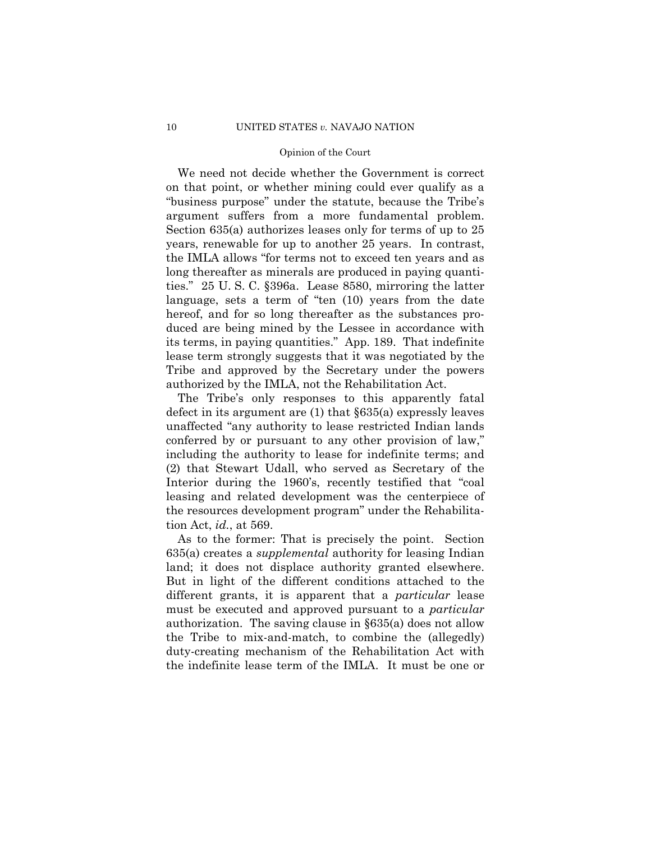We need not decide whether the Government is correct on that point, or whether mining could ever qualify as a "business purpose" under the statute, because the Tribe's argument suffers from a more fundamental problem. Section 635(a) authorizes leases only for terms of up to 25 years, renewable for up to another 25 years. In contrast, the IMLA allows "for terms not to exceed ten years and as long thereafter as minerals are produced in paying quantities." 25 U. S. C. §396a. Lease 8580, mirroring the latter language, sets a term of "ten (10) years from the date hereof, and for so long thereafter as the substances produced are being mined by the Lessee in accordance with its terms, in paying quantities." App. 189. That indefinite lease term strongly suggests that it was negotiated by the Tribe and approved by the Secretary under the powers authorized by the IMLA, not the Rehabilitation Act.

The Tribe's only responses to this apparently fatal defect in its argument are (1) that §635(a) expressly leaves unaffected "any authority to lease restricted Indian lands conferred by or pursuant to any other provision of law," including the authority to lease for indefinite terms; and (2) that Stewart Udall, who served as Secretary of the Interior during the 1960's, recently testified that "coal leasing and related development was the centerpiece of the resources development program" under the Rehabilitation Act, *id.*, at 569.

As to the former: That is precisely the point. Section 635(a) creates a *supplemental* authority for leasing Indian land; it does not displace authority granted elsewhere. But in light of the different conditions attached to the different grants, it is apparent that a *particular* lease must be executed and approved pursuant to a *particular*  authorization. The saving clause in §635(a) does not allow the Tribe to mix-and-match, to combine the (allegedly) duty-creating mechanism of the Rehabilitation Act with the indefinite lease term of the IMLA. It must be one or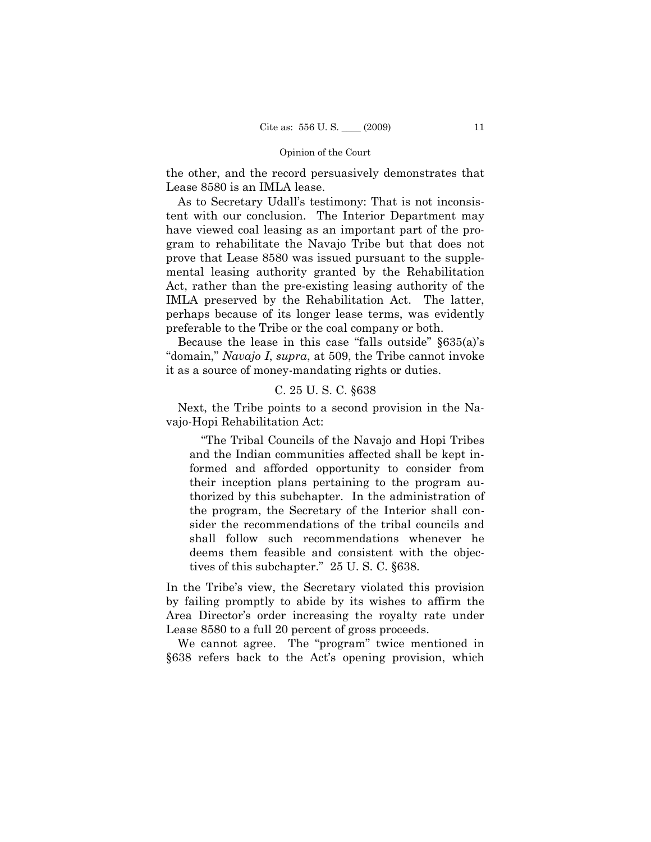the other, and the record persuasively demonstrates that Lease 8580 is an IMLA lease.

As to Secretary Udall's testimony: That is not inconsistent with our conclusion. The Interior Department may have viewed coal leasing as an important part of the program to rehabilitate the Navajo Tribe but that does not prove that Lease 8580 was issued pursuant to the supplemental leasing authority granted by the Rehabilitation Act, rather than the pre-existing leasing authority of the IMLA preserved by the Rehabilitation Act. The latter, perhaps because of its longer lease terms, was evidently preferable to the Tribe or the coal company or both.

Because the lease in this case "falls outside" §635(a)'s "domain," *Navajo I*, *supra*, at 509, the Tribe cannot invoke it as a source of money-mandating rights or duties.

### C. 25 U. S. C. §638

Next, the Tribe points to a second provision in the Navajo-Hopi Rehabilitation Act:

"The Tribal Councils of the Navajo and Hopi Tribes and the Indian communities affected shall be kept informed and afforded opportunity to consider from their inception plans pertaining to the program authorized by this subchapter. In the administration of the program, the Secretary of the Interior shall consider the recommendations of the tribal councils and shall follow such recommendations whenever he deems them feasible and consistent with the objectives of this subchapter." 25 U. S. C. §638.

In the Tribe's view, the Secretary violated this provision by failing promptly to abide by its wishes to affirm the Area Director's order increasing the royalty rate under Lease 8580 to a full 20 percent of gross proceeds.

We cannot agree. The "program" twice mentioned in §638 refers back to the Act's opening provision, which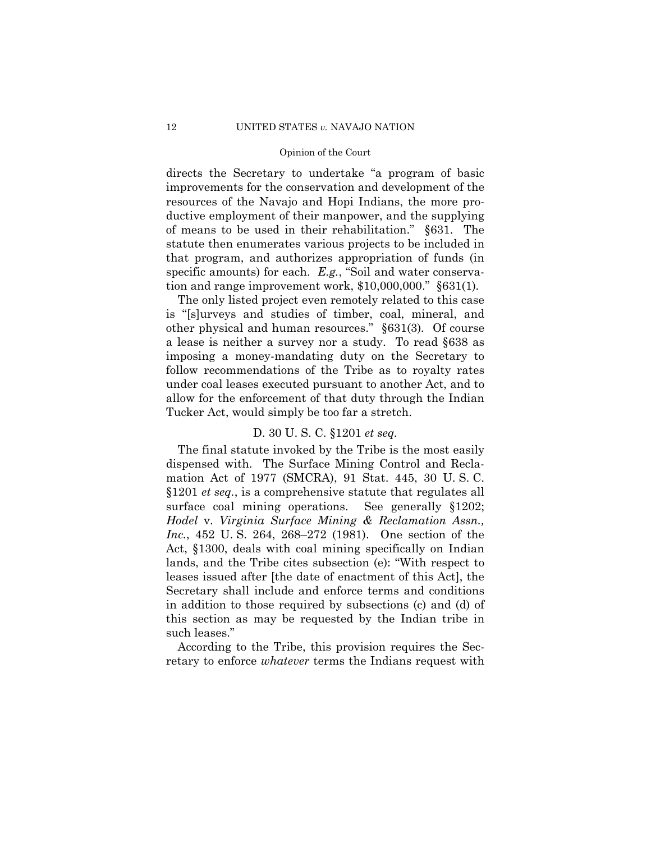directs the Secretary to undertake "a program of basic improvements for the conservation and development of the resources of the Navajo and Hopi Indians, the more productive employment of their manpower, and the supplying of means to be used in their rehabilitation." §631. The statute then enumerates various projects to be included in that program, and authorizes appropriation of funds (in specific amounts) for each. *E.g.*, "Soil and water conservation and range improvement work, \$10,000,000." §631(1)*.* 

The only listed project even remotely related to this case is "[s]urveys and studies of timber, coal, mineral, and other physical and human resources." §631(3)*.* Of course a lease is neither a survey nor a study. To read §638 as imposing a money-mandating duty on the Secretary to follow recommendations of the Tribe as to royalty rates under coal leases executed pursuant to another Act, and to allow for the enforcement of that duty through the Indian Tucker Act, would simply be too far a stretch.

### D. 30 U. S. C. §1201 *et seq.*

The final statute invoked by the Tribe is the most easily dispensed with. The Surface Mining Control and Reclamation Act of 1977 (SMCRA), 91 Stat. 445, 30 U. S. C. §1201 *et seq.*, is a comprehensive statute that regulates all surface coal mining operations. See generally §1202; *Hodel* v. *Virginia Surface Mining & Reclamation Assn., Inc.*, 452 U. S. 264, 268–272 (1981). One section of the Act, §1300, deals with coal mining specifically on Indian lands, and the Tribe cites subsection (e): "With respect to leases issued after [the date of enactment of this Act], the Secretary shall include and enforce terms and conditions in addition to those required by subsections (c) and (d) of this section as may be requested by the Indian tribe in such leases."

According to the Tribe, this provision requires the Secretary to enforce *whatever* terms the Indians request with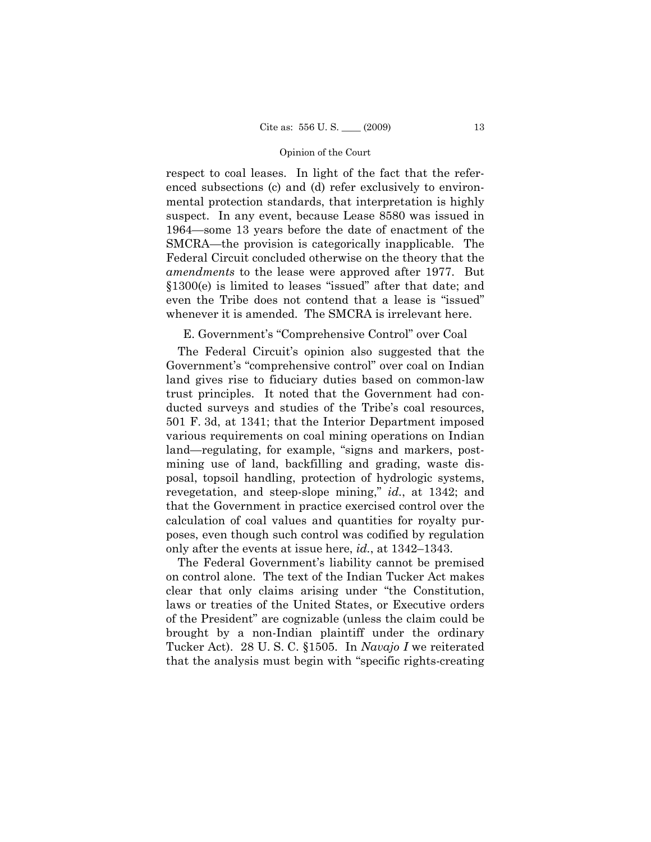respect to coal leases. In light of the fact that the referenced subsections (c) and (d) refer exclusively to environmental protection standards, that interpretation is highly suspect. In any event, because Lease 8580 was issued in 1964—some 13 years before the date of enactment of the SMCRA—the provision is categorically inapplicable. The Federal Circuit concluded otherwise on the theory that the *amendments* to the lease were approved after 1977. But §1300(e) is limited to leases "issued" after that date; and even the Tribe does not contend that a lease is "issued" whenever it is amended. The SMCRA is irrelevant here.

### E. Government's "Comprehensive Control" over Coal

The Federal Circuit's opinion also suggested that the Government's "comprehensive control" over coal on Indian land gives rise to fiduciary duties based on common-law trust principles. It noted that the Government had conducted surveys and studies of the Tribe's coal resources, 501 F. 3d, at 1341; that the Interior Department imposed various requirements on coal mining operations on Indian land—regulating, for example, "signs and markers, postmining use of land, backfilling and grading, waste disposal, topsoil handling, protection of hydrologic systems, revegetation, and steep-slope mining," *id.*, at 1342; and that the Government in practice exercised control over the calculation of coal values and quantities for royalty purposes, even though such control was codified by regulation only after the events at issue here, *id.*, at 1342–1343.

The Federal Government's liability cannot be premised on control alone. The text of the Indian Tucker Act makes clear that only claims arising under "the Constitution, laws or treaties of the United States, or Executive orders of the President" are cognizable (unless the claim could be brought by a non-Indian plaintiff under the ordinary Tucker Act). 28 U. S. C. §1505. In *Navajo I* we reiterated that the analysis must begin with "specific rights-creating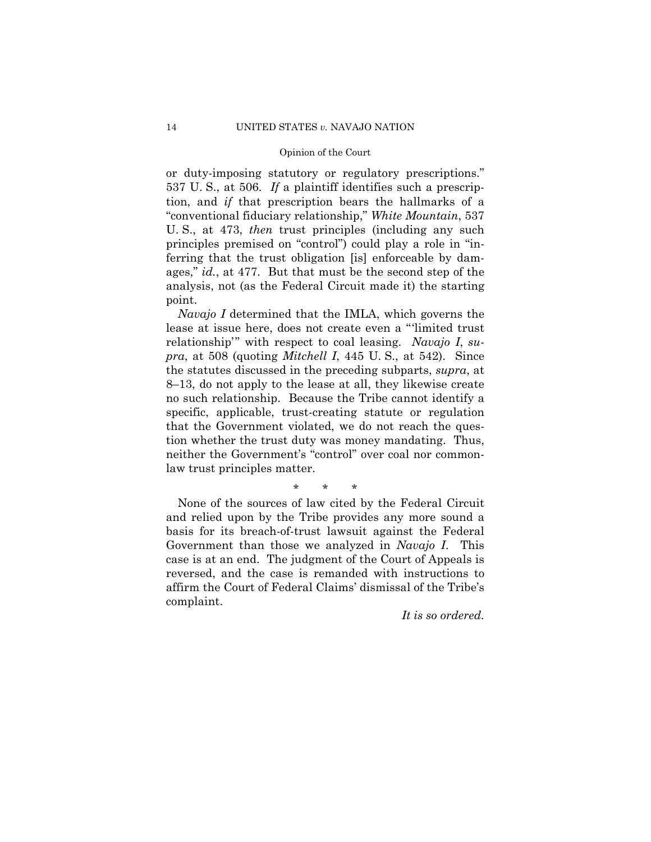or duty-imposing statutory or regulatory prescriptions." 537 U. S., at 506. *If* a plaintiff identifies such a prescription, and *if* that prescription bears the hallmarks of a "conventional fiduciary relationship," *White Mountain*, 537 U. S., at 473, *then* trust principles (including any such principles premised on "control") could play a role in "inferring that the trust obligation [is] enforceable by damages," *id.*, at 477. But that must be the second step of the analysis, not (as the Federal Circuit made it) the starting point.

*Navajo I* determined that the IMLA, which governs the lease at issue here, does not create even a "'limited trust relationship'" with respect to coal leasing. *Navajo I*, *supra*, at 508 (quoting *Mitchell I*, 445 U. S., at 542). Since the statutes discussed in the preceding subparts, *supra*, at 8–13, do not apply to the lease at all, they likewise create no such relationship. Because the Tribe cannot identify a specific, applicable, trust-creating statute or regulation that the Government violated, we do not reach the question whether the trust duty was money mandating. Thus, neither the Government's "control" over coal nor commonlaw trust principles matter.

\* \* \*

None of the sources of law cited by the Federal Circuit and relied upon by the Tribe provides any more sound a basis for its breach-of-trust lawsuit against the Federal Government than those we analyzed in *Navajo I*. This case is at an end. The judgment of the Court of Appeals is reversed, and the case is remanded with instructions to affirm the Court of Federal Claims' dismissal of the Tribe's complaint.

*It is so ordered.*